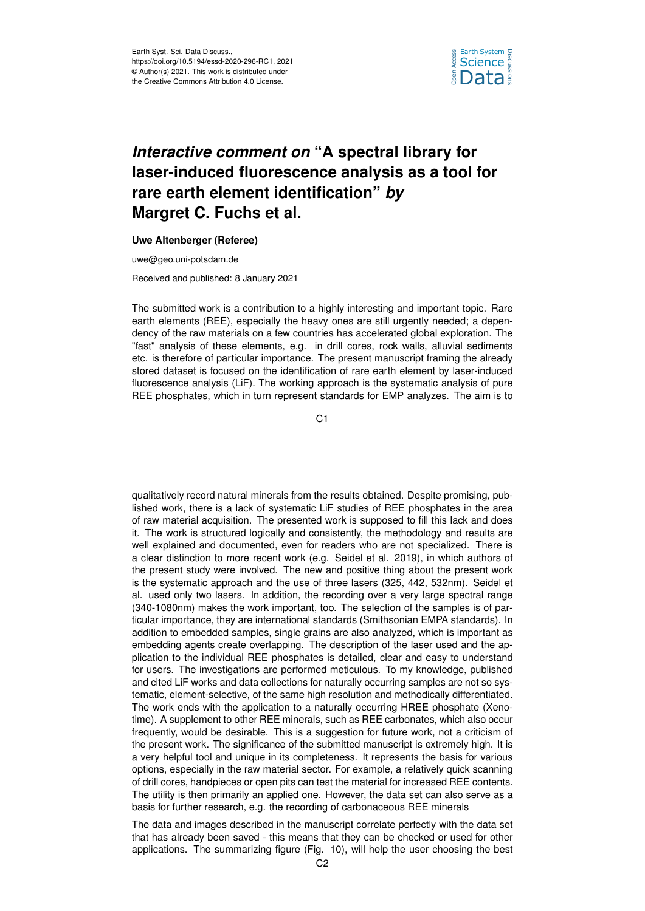

## *Interactive comment on* **"A spectral library for laser-induced fluorescence analysis as a tool for rare earth element identification"** *by* **Margret C. Fuchs et al.**

## **Uwe Altenberger (Referee)**

uwe@geo.uni-potsdam.de

Received and published: 8 January 2021

The submitted work is a contribution to a highly interesting and important topic. Rare earth elements (REE), especially the heavy ones are still urgently needed; a dependency of the raw materials on a few countries has accelerated global exploration. The "fast" analysis of these elements, e.g. in drill cores, rock walls, alluvial sediments etc. is therefore of particular importance. The present manuscript framing the already stored dataset is focused on the identification of rare earth element by laser-induced fluorescence analysis (LiF). The working approach is the systematic analysis of pure REE phosphates, which in turn represent standards for EMP analyzes. The aim is to

 $C<sub>1</sub>$ 

qualitatively record natural minerals from the results obtained. Despite promising, published work, there is a lack of systematic LiF studies of REE phosphates in the area of raw material acquisition. The presented work is supposed to fill this lack and does it. The work is structured logically and consistently, the methodology and results are well explained and documented, even for readers who are not specialized. There is a clear distinction to more recent work (e.g. Seidel et al. 2019), in which authors of the present study were involved. The new and positive thing about the present work is the systematic approach and the use of three lasers (325, 442, 532nm). Seidel et al. used only two lasers. In addition, the recording over a very large spectral range (340-1080nm) makes the work important, too. The selection of the samples is of particular importance, they are international standards (Smithsonian EMPA standards). In addition to embedded samples, single grains are also analyzed, which is important as embedding agents create overlapping. The description of the laser used and the application to the individual REE phosphates is detailed, clear and easy to understand for users. The investigations are performed meticulous. To my knowledge, published and cited LiF works and data collections for naturally occurring samples are not so systematic, element-selective, of the same high resolution and methodically differentiated. The work ends with the application to a naturally occurring HREE phosphate (Xenotime). A supplement to other REE minerals, such as REE carbonates, which also occur frequently, would be desirable. This is a suggestion for future work, not a criticism of the present work. The significance of the submitted manuscript is extremely high. It is a very helpful tool and unique in its completeness. It represents the basis for various options, especially in the raw material sector. For example, a relatively quick scanning of drill cores, handpieces or open pits can test the material for increased REE contents. The utility is then primarily an applied one. However, the data set can also serve as a basis for further research, e.g. the recording of carbonaceous REE minerals

The data and images described in the manuscript correlate perfectly with the data set that has already been saved - this means that they can be checked or used for other applications. The summarizing figure (Fig. 10), will help the user choosing the best